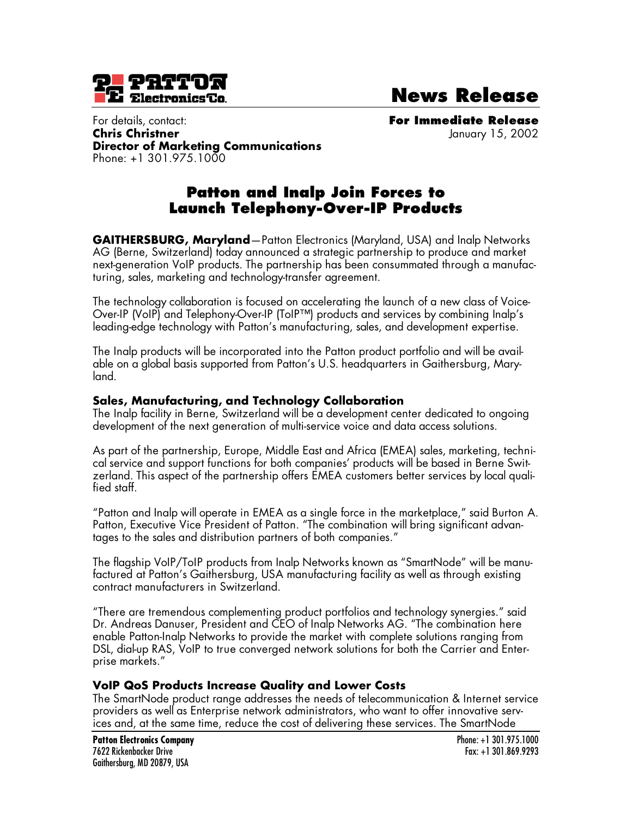

**News Release**

For details, contact: **For Immediate Release Chris Christner** January 15, 2002 **Director of Marketing Communications**  Phone: +1 301.975.1000

# **Patton and Inalp Join Forces to Launch Telephony-Over-IP Products**

**GAITHERSBURG, Maryland**—Patton Electronics (Maryland, USA) and Inalp Networks AG (Berne, Switzerland) today announced a strategic partnership to produce and market next-generation VoIP products. The partnership has been consummated through a manufacturing, sales, marketing and technology-transfer agreement.

The technology collaboration is focused on accelerating the launch of a new class of Voice-Over-IP (VoIP) and Telephony-Over-IP (ToIP™) products and services by combining Inalp's leading-edge technology with Patton's manufacturing, sales, and development expertise.

The Inalp products will be incorporated into the Patton product portfolio and will be available on a global basis supported from Patton's U.S. headquarters in Gaithersburg, Maryland.

### **Sales, Manufacturing, and Technology Collaboration**

The Inalp facility in Berne, Switzerland will be a development center dedicated to ongoing development of the next generation of multi-service voice and data access solutions.

As part of the partnership, Europe, Middle East and Africa (EMEA) sales, marketing, technical service and support functions for both companies' products will be based in Berne Switzerland. This aspect of the partnership offers EMEA customers better services by local qualified staff.

"Patton and Inalp will operate in EMEA as a single force in the marketplace," said Burton A. Patton, Executive Vice President of Patton. "The combination will bring significant advantages to the sales and distribution partners of both companies."

The flagship VoIP/ToIP products from Inalp Networks known as "SmartNode" will be manufactured at Patton's Gaithersburg, USA manufacturing facility as well as through existing contract manufacturers in Switzerland.

"There are tremendous complementing product portfolios and technology synergies." said Dr. Andreas Danuser, President and CEO of Inalp Networks AG. "The combination here enable Patton-Inalp Networks to provide the market with complete solutions ranging from DSL, dial-up RAS, VoIP to true converged network solutions for both the Carrier and Enterprise markets."

#### **VoIP QoS Products Increase Quality and Lower Costs**

The SmartNode product range addresses the needs of telecommunication & Internet service providers as well as Enterprise network administrators, who want to offer innovative services and, at the same time, reduce the cost of delivering these services. The SmartNode